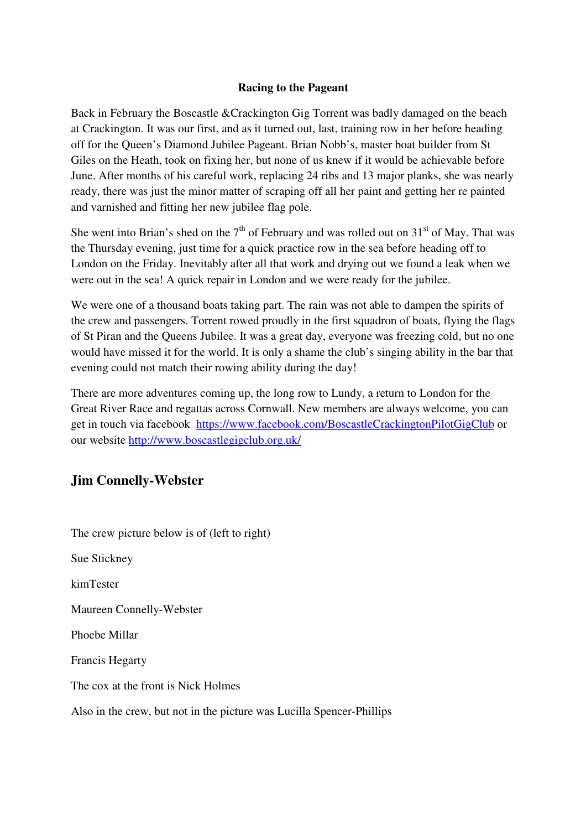## **Racing to the Pageant**

Back in February the Boscastle &Crackington Gig Torrent was badly damaged on the beach at Crackington. It was our first, and as it turned out, last, training row in her before heading off for the Queen's Diamond Jubilee Pageant. Brian Nobb's, master boat builder from St Giles on the Heath, took on fixing her, but none of us knew if it would be achievable before June. After months of his careful work, replacing 24 ribs and 13 major planks, she was nearly ready, there was just the minor matter of scraping off all her paint and getting her re painted and varnished and fitting her new jubilee flag pole.

She went into Brian's shed on the  $7<sup>th</sup>$  of February and was rolled out on 31<sup>st</sup> of May. That was the Thursday evening, just time for a quick practice row in the sea before heading off to London on the Friday. Inevitably after all that work and drying out we found a leak when we were out in the sea! A quick repair in London and we were ready for the jubilee.

We were one of a thousand boats taking part. The rain was not able to dampen the spirits of the crew and passengers. Torrent rowed proudly in the first squadron of boats, flying the flags of St Piran and the Queens Jubilee. It was a great day, everyone was freezing cold, but no one would have missed it for the world. It is only a shame the club's singing ability in the bar that evening could not match their rowing ability during the day!

There are more adventures coming up, the long row to Lundy, a return to London for the Great River Race and regattas across Cornwall. New members are always welcome, you can get in touch via facebook https://www.facebook.com/BoscastleCrackingtonPilotGigClub or our website http://www.boscastlegigclub.org.uk/

## **Jim Connelly-Webster**

The crew picture below is of (left to right) Sue Stickney kimTester Maureen Connelly-Webster Phoebe Millar Francis Hegarty The cox at the front is Nick Holmes Also in the crew, but not in the picture was Lucilla Spencer-Phillips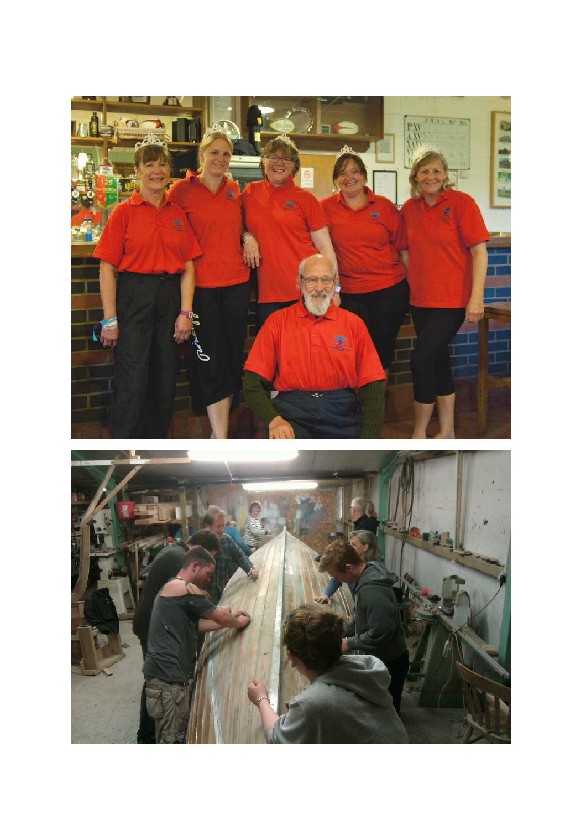